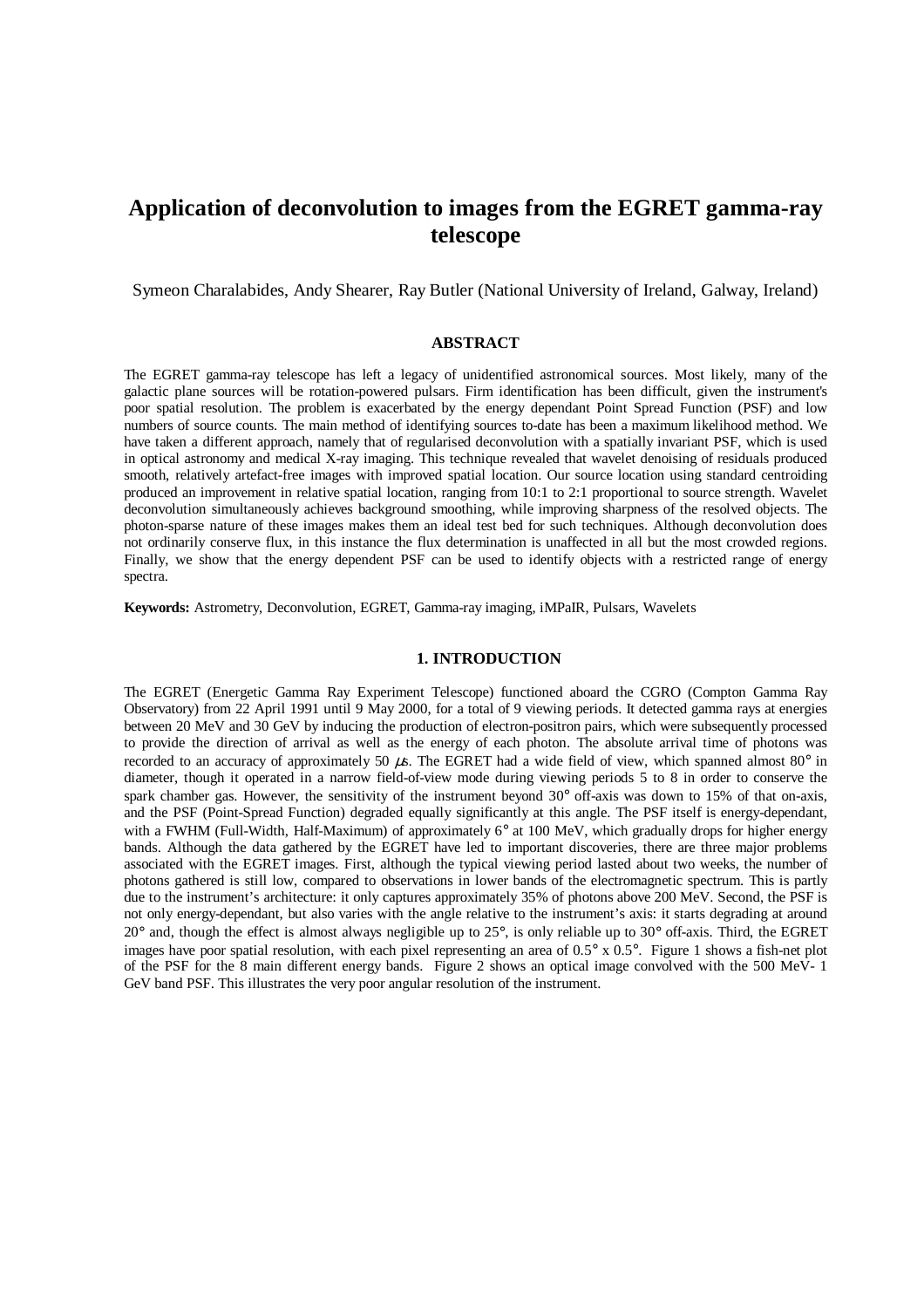# **Application of deconvolution to images from the EGRET gamma-ray telescope**

Symeon Charalabides, Andy Shearer, Ray Butler (National University of Ireland, Galway, Ireland)

## **ABSTRACT**

The EGRET gamma-ray telescope has left a legacy of unidentified astronomical sources. Most likely, many of the galactic plane sources will be rotation-powered pulsars. Firm identification has been difficult, given the instrument's poor spatial resolution. The problem is exacerbated by the energy dependant Point Spread Function (PSF) and low numbers of source counts. The main method of identifying sources to-date has been a maximum likelihood method. We have taken a different approach, namely that of regularised deconvolution with a spatially invariant PSF, which is used in optical astronomy and medical X-ray imaging. This technique revealed that wavelet denoising of residuals produced smooth, relatively artefact-free images with improved spatial location. Our source location using standard centroiding produced an improvement in relative spatial location, ranging from 10:1 to 2:1 proportional to source strength. Wavelet deconvolution simultaneously achieves background smoothing, while improving sharpness of the resolved objects. The photon-sparse nature of these images makes them an ideal test bed for such techniques. Although deconvolution does not ordinarily conserve flux, in this instance the flux determination is unaffected in all but the most crowded regions. Finally, we show that the energy dependent PSF can be used to identify objects with a restricted range of energy spectra.

**Keywords:** Astrometry, Deconvolution, EGRET, Gamma-ray imaging, iMPaIR, Pulsars, Wavelets

## **1. INTRODUCTION**

The EGRET (Energetic Gamma Ray Experiment Telescope) functioned aboard the CGRO (Compton Gamma Ray Observatory) from 22 April 1991 until 9 May 2000, for a total of 9 viewing periods. It detected gamma rays at energies between 20 MeV and 30 GeV by inducing the production of electron-positron pairs, which were subsequently processed to provide the direction of arrival as well as the energy of each photon. The absolute arrival time of photons was recorded to an accuracy of approximately 50  $\mu$ s. The EGRET had a wide field of view, which spanned almost 80° in diameter, though it operated in a narrow field-of-view mode during viewing periods 5 to 8 in order to conserve the spark chamber gas. However, the sensitivity of the instrument beyond 30° off-axis was down to 15% of that on-axis, and the PSF (Point-Spread Function) degraded equally significantly at this angle. The PSF itself is energy-dependant, with a FWHM (Full-Width, Half-Maximum) of approximately 6° at 100 MeV, which gradually drops for higher energy bands. Although the data gathered by the EGRET have led to important discoveries, there are three major problems associated with the EGRET images. First, although the typical viewing period lasted about two weeks, the number of photons gathered is still low, compared to observations in lower bands of the electromagnetic spectrum. This is partly due to the instrument's architecture: it only captures approximately 35% of photons above 200 MeV. Second, the PSF is not only energy-dependant, but also varies with the angle relative to the instrument's axis: it starts degrading at around 20° and, though the effect is almost always negligible up to 25°, is only reliable up to 30° off-axis. Third, the EGRET images have poor spatial resolution, with each pixel representing an area of  $0.5^\circ \times 0.5^\circ$ . Figure 1 shows a fish-net plot of the PSF for the 8 main different energy bands. Figure 2 shows an optical image convolved with the 500 MeV- 1 GeV band PSF. This illustrates the very poor angular resolution of the instrument.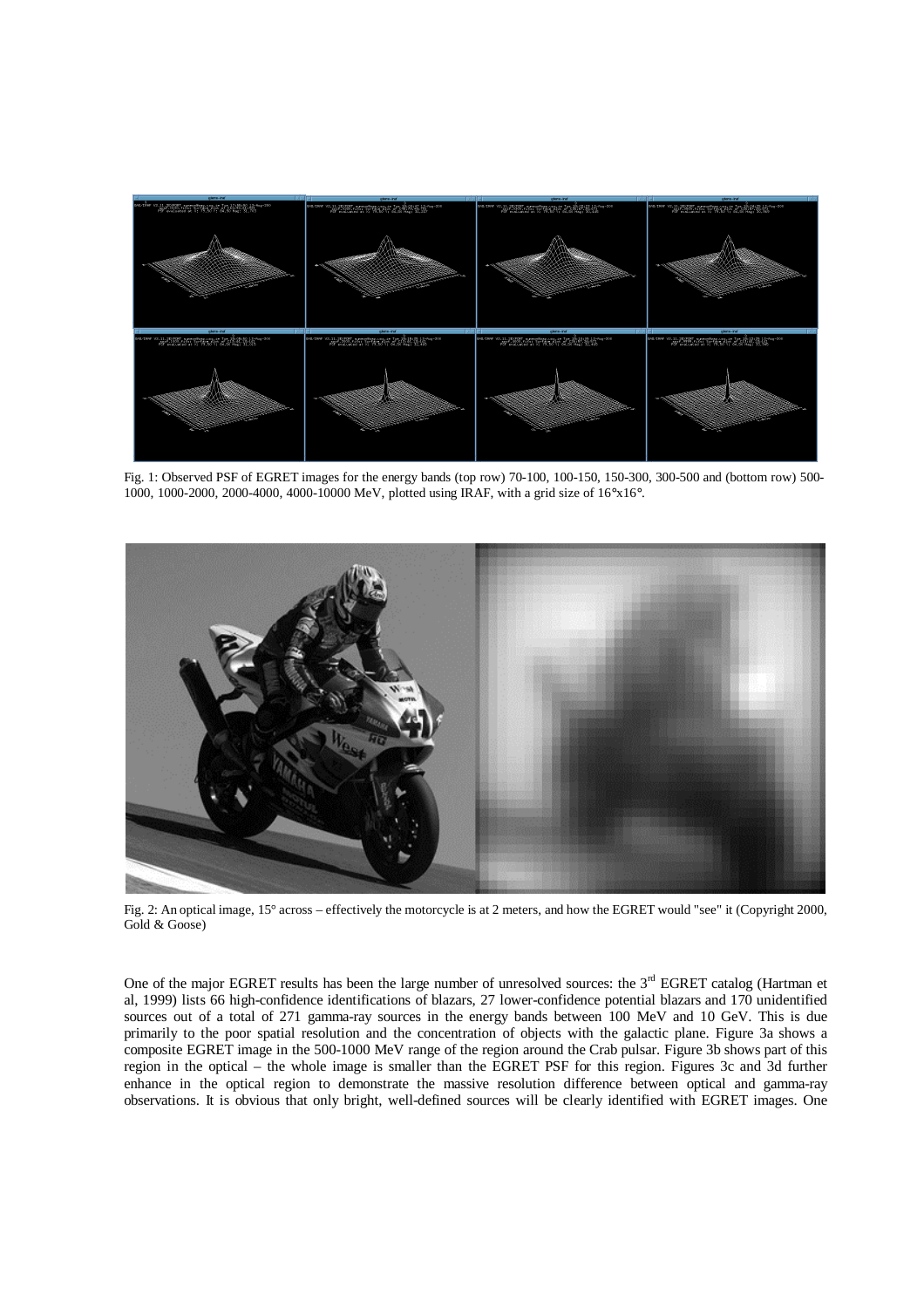

Fig. 1: Observed PSF of EGRET images for the energy bands (top row) 70-100, 100-150, 150-300, 300-500 and (bottom row) 500- 1000, 1000-2000, 2000-4000, 4000-10000 MeV, plotted using IRAF, with a grid size of 16°x16°.



Fig. 2: An optical image, 15° across – effectively the motorcycle is at 2 meters, and how the EGRET would "see" it (Copyright 2000, Gold & Goose)

One of the major EGRET results has been the large number of unresolved sources: the  $3<sup>rd</sup>$  EGRET catalog (Hartman et al, 1999) lists 66 high-confidence identifications of blazars, 27 lower-confidence potential blazars and 170 unidentified sources out of a total of 271 gamma-ray sources in the energy bands between 100 MeV and 10 GeV. This is due primarily to the poor spatial resolution and the concentration of objects with the galactic plane. Figure 3a shows a composite EGRET image in the 500-1000 MeV range of the region around the Crab pulsar. Figure 3b shows part of this region in the optical – the whole image is smaller than the EGRET PSF for this region. Figures 3c and 3d further enhance in the optical region to demonstrate the massive resolution difference between optical and gamma-ray observations. It is obvious that only bright, well-defined sources will be clearly identified with EGRET images. One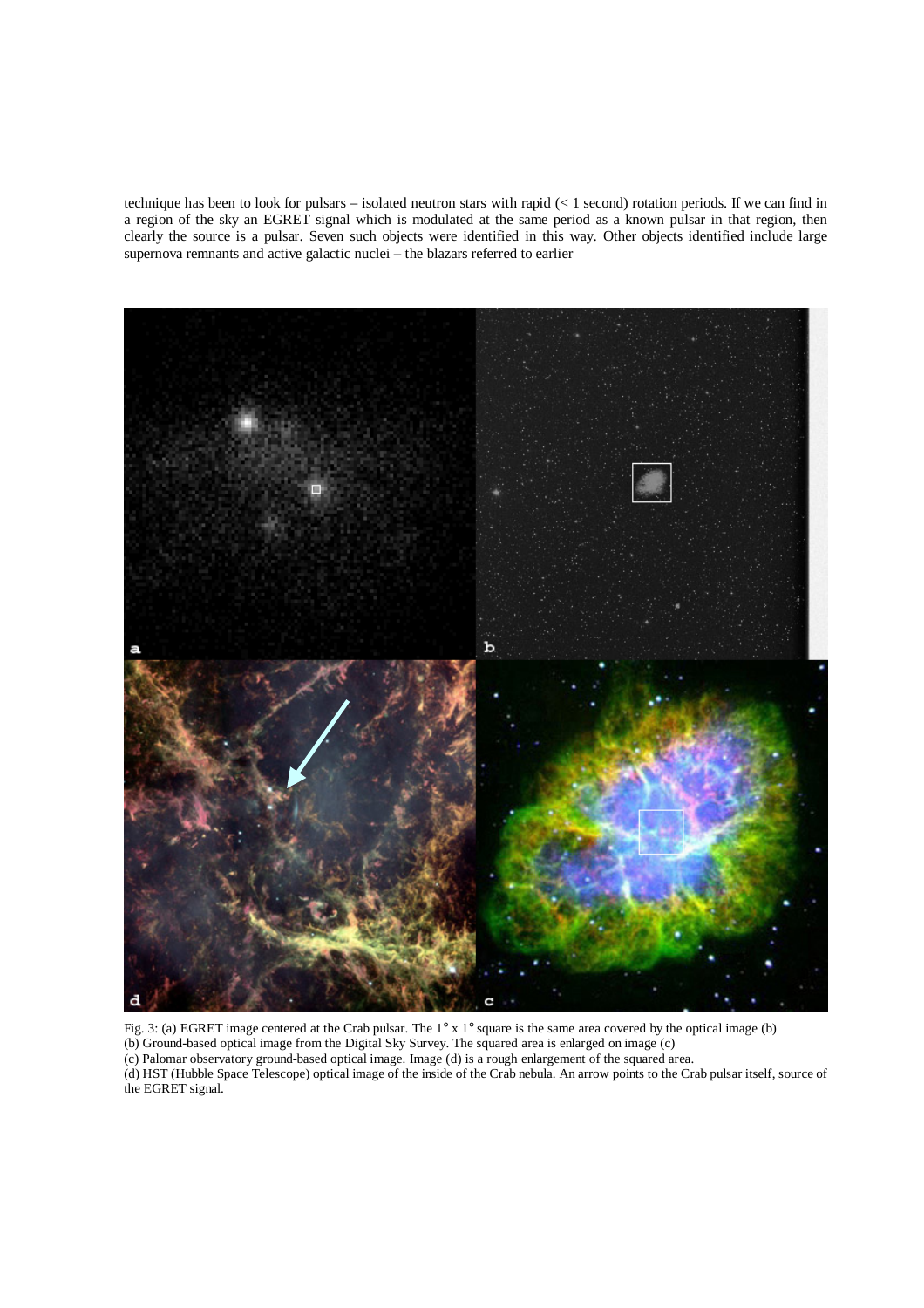technique has been to look for pulsars – isolated neutron stars with rapid (< 1 second) rotation periods. If we can find in a region of the sky an EGRET signal which is modulated at the same period as a known pulsar in that region, then clearly the source is a pulsar. Seven such objects were identified in this way. Other objects identified include large supernova remnants and active galactic nuclei – the blazars referred to earlier



Fig. 3: (a) EGRET image centered at the Crab pulsar. The 1° x 1° square is the same area covered by the optical image (b) (b) Ground-based optical image from the Digital Sky Survey. The squared area is enlarged on image (c) (c) Palomar observatory ground-based optical image. Image (d) is a rough enlargement of the squared area. (d) HST (Hubble Space Telescope) optical image of the inside of the Crab nebula. An arrow points to the Crab pulsar itself, source of the EGRET signal.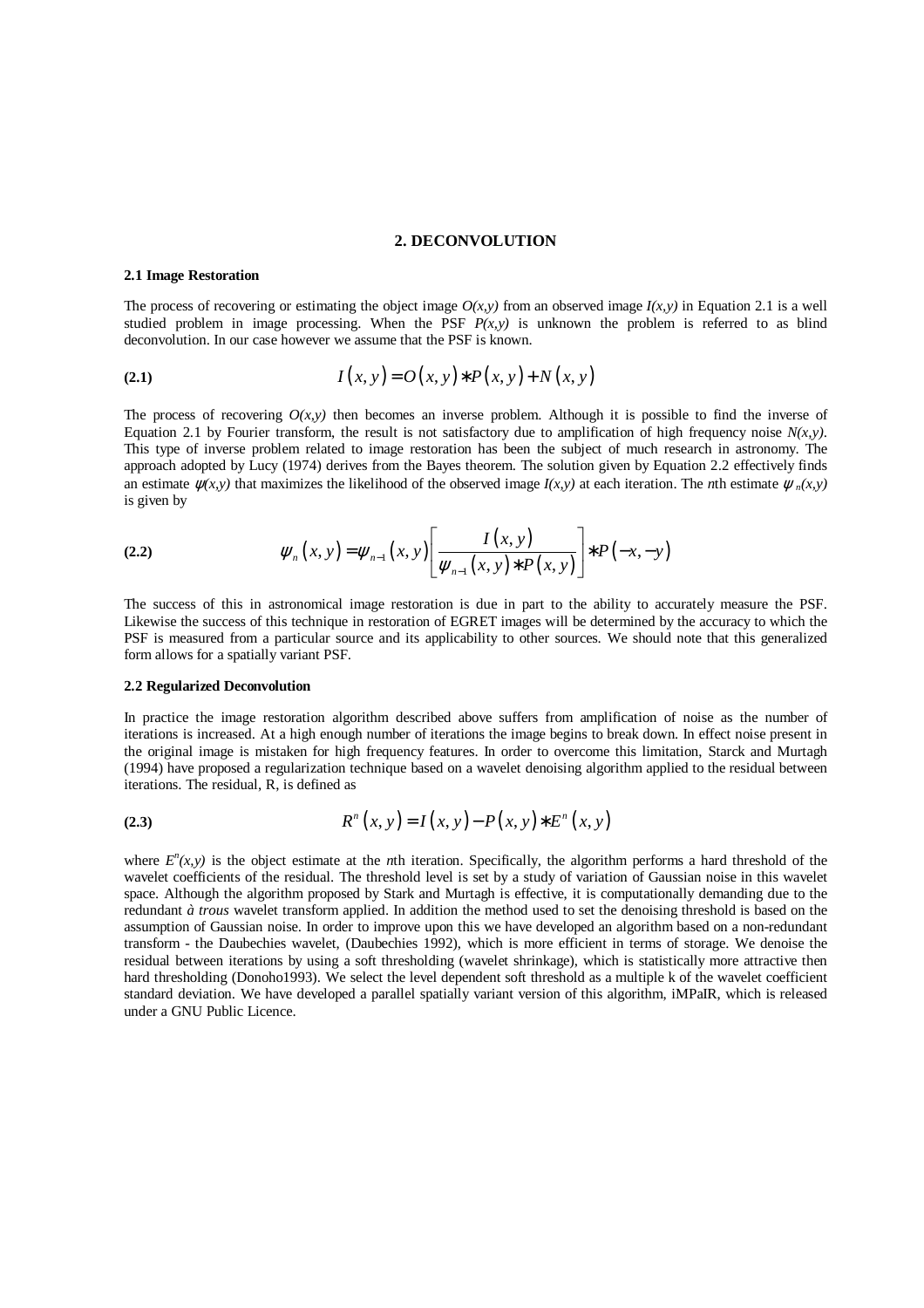#### **2. DECONVOLUTION**

#### **2.1 Image Restoration**

The process of recovering or estimating the object image  $O(x, y)$  from an observed image  $I(x, y)$  in Equation 2.1 is a well studied problem in image processing. When the PSF  $P(x, y)$  is unknown the problem is referred to as blind deconvolution. In our case however we assume that the PSF is known.

(2.1) 
$$
I(x, y) = O(x, y) * P(x, y) + N(x, y)
$$

The process of recovering  $O(x, y)$  then becomes an inverse problem. Although it is possible to find the inverse of Equation 2.1 by Fourier transform, the result is not satisfactory due to amplification of high frequency noise  $N(x,y)$ . This type of inverse problem related to image restoration has been the subject of much research in astronomy. The approach adopted by Lucy (1974) derives from the Bayes theorem. The solution given by Equation 2.2 effectively finds an estimate  $\psi(x, y)$  that maximizes the likelihood of the observed image  $I(x, y)$  at each iteration. The *n*th estimate  $\psi_n(x, y)$ is given by

(2.2) 
$$
\psi_n(x, y) = \psi_{n-1}(x, y) \left[ \frac{I(x, y)}{\psi_{n-1}(x, y) * P(x, y)} \right] * P(-x, -y)
$$

The success of this in astronomical image restoration is due in part to the ability to accurately measure the PSF. Likewise the success of this technique in restoration of EGRET images will be determined by the accuracy to which the PSF is measured from a particular source and its applicability to other sources. We should note that this generalized form allows for a spatially variant PSF.

#### **2.2 Regularized Deconvolution**

In practice the image restoration algorithm described above suffers from amplification of noise as the number of iterations is increased. At a high enough number of iterations the image begins to break down. In effect noise present in the original image is mistaken for high frequency features. In order to overcome this limitation, Starck and Murtagh (1994) have proposed a regularization technique based on a wavelet denoising algorithm applied to the residual between iterations. The residual, R, is defined as

(2.3) 
$$
R^{n}(x, y) = I(x, y) - P(x, y) * E^{n}(x, y)
$$

where  $E^{n}(x, y)$  is the object estimate at the *n*th iteration. Specifically, the algorithm performs a hard threshold of the wavelet coefficients of the residual. The threshold level is set by a study of variation of Gaussian noise in this wavelet space. Although the algorithm proposed by Stark and Murtagh is effective, it is computationally demanding due to the redundant *à trous* wavelet transform applied. In addition the method used to set the denoising threshold is based on the assumption of Gaussian noise. In order to improve upon this we have developed an algorithm based on a non-redundant transform - the Daubechies wavelet, (Daubechies 1992), which is more efficient in terms of storage. We denoise the residual between iterations by using a soft thresholding (wavelet shrinkage), which is statistically more attractive then hard thresholding (Donoho1993). We select the level dependent soft threshold as a multiple k of the wavelet coefficient standard deviation. We have developed a parallel spatially variant version of this algorithm, iMPaIR, which is released under a GNU Public Licence.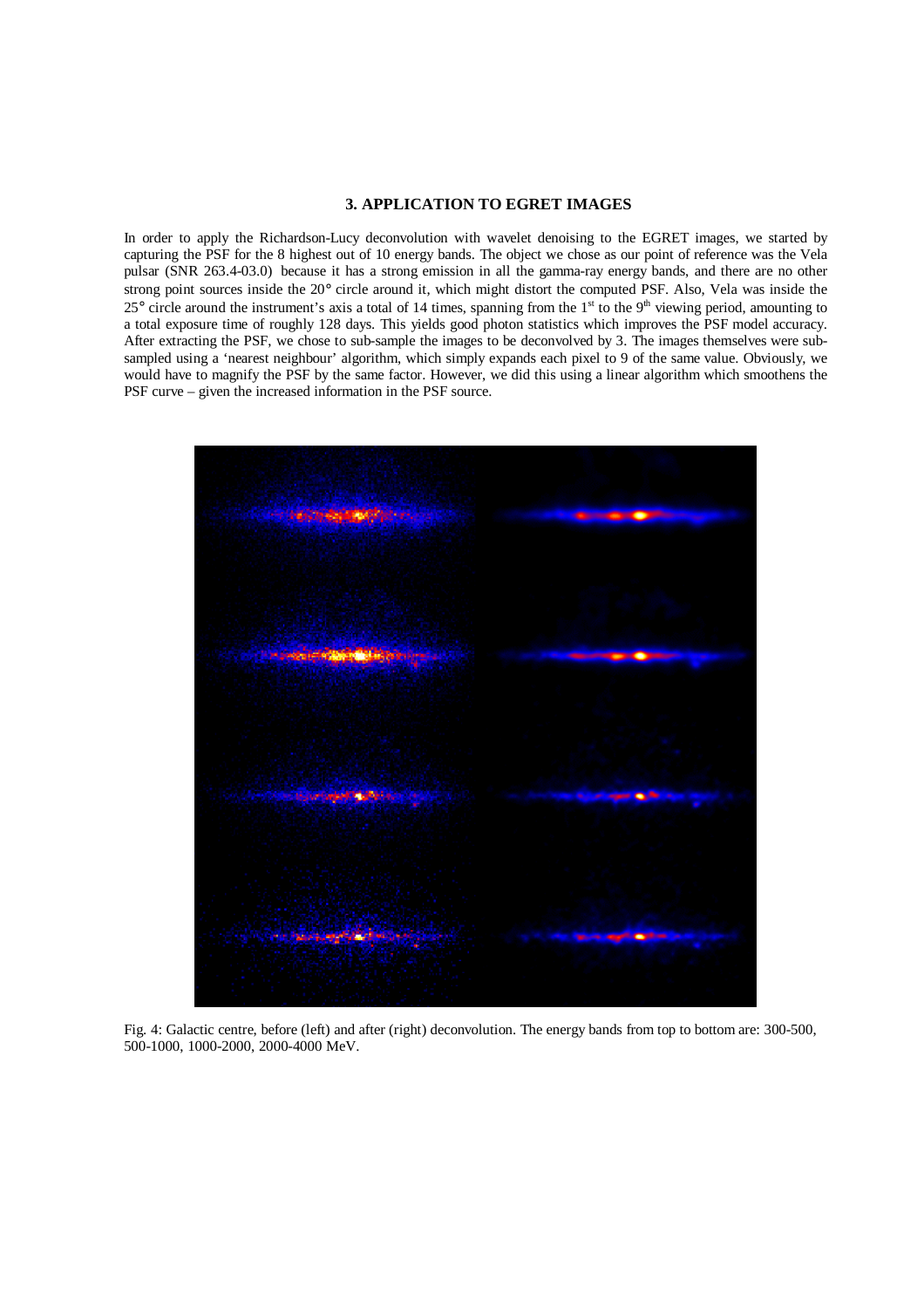### **3. APPLICATION TO EGRET IMAGES**

In order to apply the Richardson-Lucy deconvolution with wavelet denoising to the EGRET images, we started by capturing the PSF for the 8 highest out of 10 energy bands. The object we chose as our point of reference was the Vela pulsar (SNR 263.4-03.0) because it has a strong emission in all the gamma-ray energy bands, and there are no other strong point sources inside the 20° circle around it, which might distort the computed PSF. Also, Vela was inside the  $25^{\circ}$  circle around the instrument's axis a total of 14 times, spanning from the 1<sup>st</sup> to the 9<sup>th</sup> viewing period, amounting to a total exposure time of roughly 128 days. This yields good photon statistics which improves the PSF model accuracy. After extracting the PSF, we chose to sub-sample the images to be deconvolved by 3. The images themselves were subsampled using a 'nearest neighbour' algorithm, which simply expands each pixel to 9 of the same value. Obviously, we would have to magnify the PSF by the same factor. However, we did this using a linear algorithm which smoothens the PSF curve – given the increased information in the PSF source.



Fig. 4: Galactic centre, before (left) and after (right) deconvolution. The energy bands from top to bottom are: 300-500, 500-1000, 1000-2000, 2000-4000 MeV.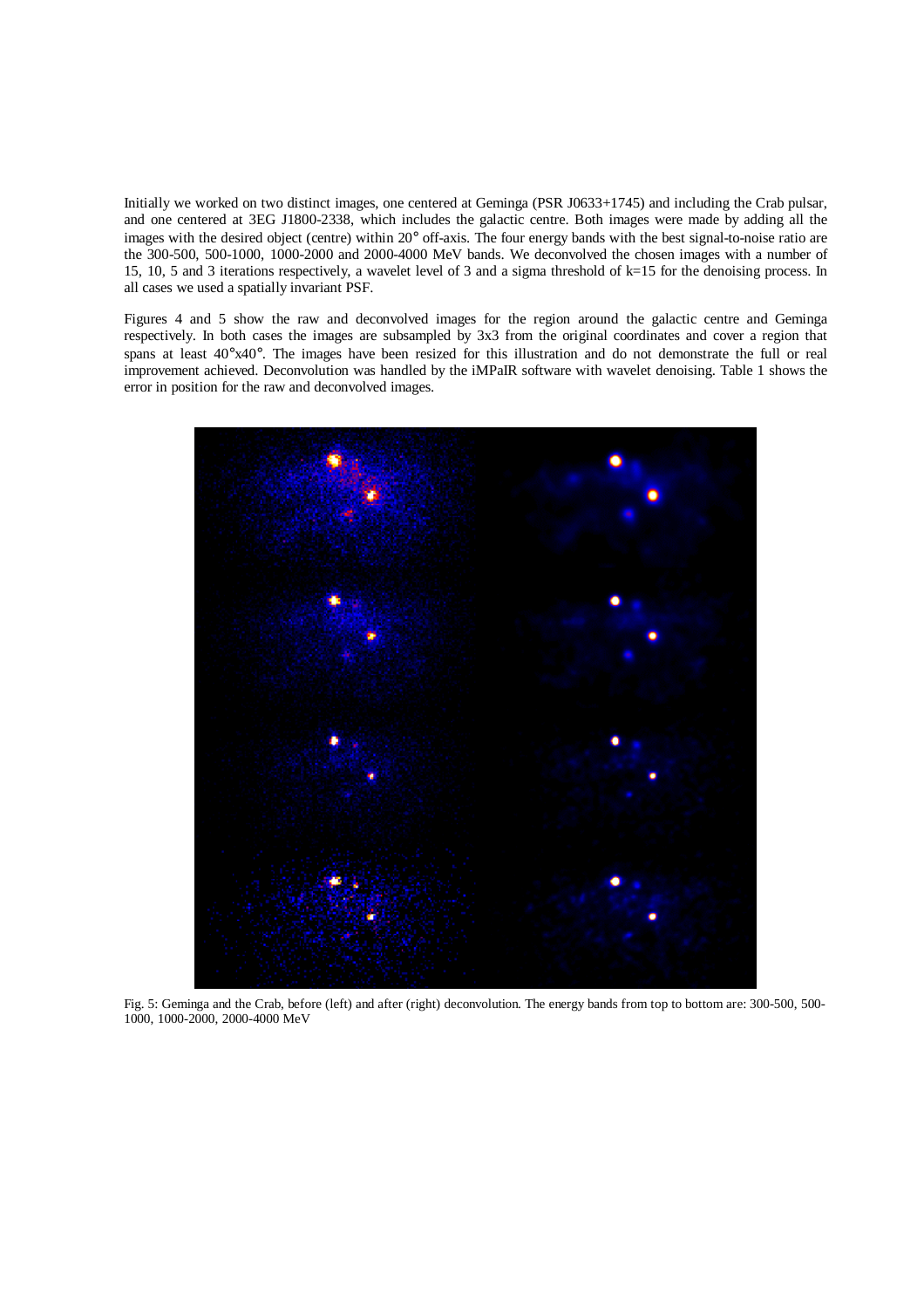Initially we worked on two distinct images, one centered at Geminga (PSR J0633+1745) and including the Crab pulsar, and one centered at 3EG J1800-2338, which includes the galactic centre. Both images were made by adding all the images with the desired object (centre) within 20° off-axis. The four energy bands with the best signal-to-noise ratio are the 300-500, 500-1000, 1000-2000 and 2000-4000 MeV bands. We deconvolved the chosen images with a number of 15, 10, 5 and 3 iterations respectively, a wavelet level of 3 and a sigma threshold of k=15 for the denoising process. In all cases we used a spatially invariant PSF.

Figures 4 and 5 show the raw and deconvolved images for the region around the galactic centre and Geminga respectively. In both cases the images are subsampled by 3x3 from the original coordinates and cover a region that spans at least  $40^{\circ}x40^{\circ}$ . The images have been resized for this illustration and do not demonstrate the full or real improvement achieved. Deconvolution was handled by the iMPaIR software with wavelet denoising. Table 1 shows the error in position for the raw and deconvolved images.



Fig. 5: Geminga and the Crab, before (left) and after (right) deconvolution. The energy bands from top to bottom are: 300-500, 500- 1000, 1000-2000, 2000-4000 MeV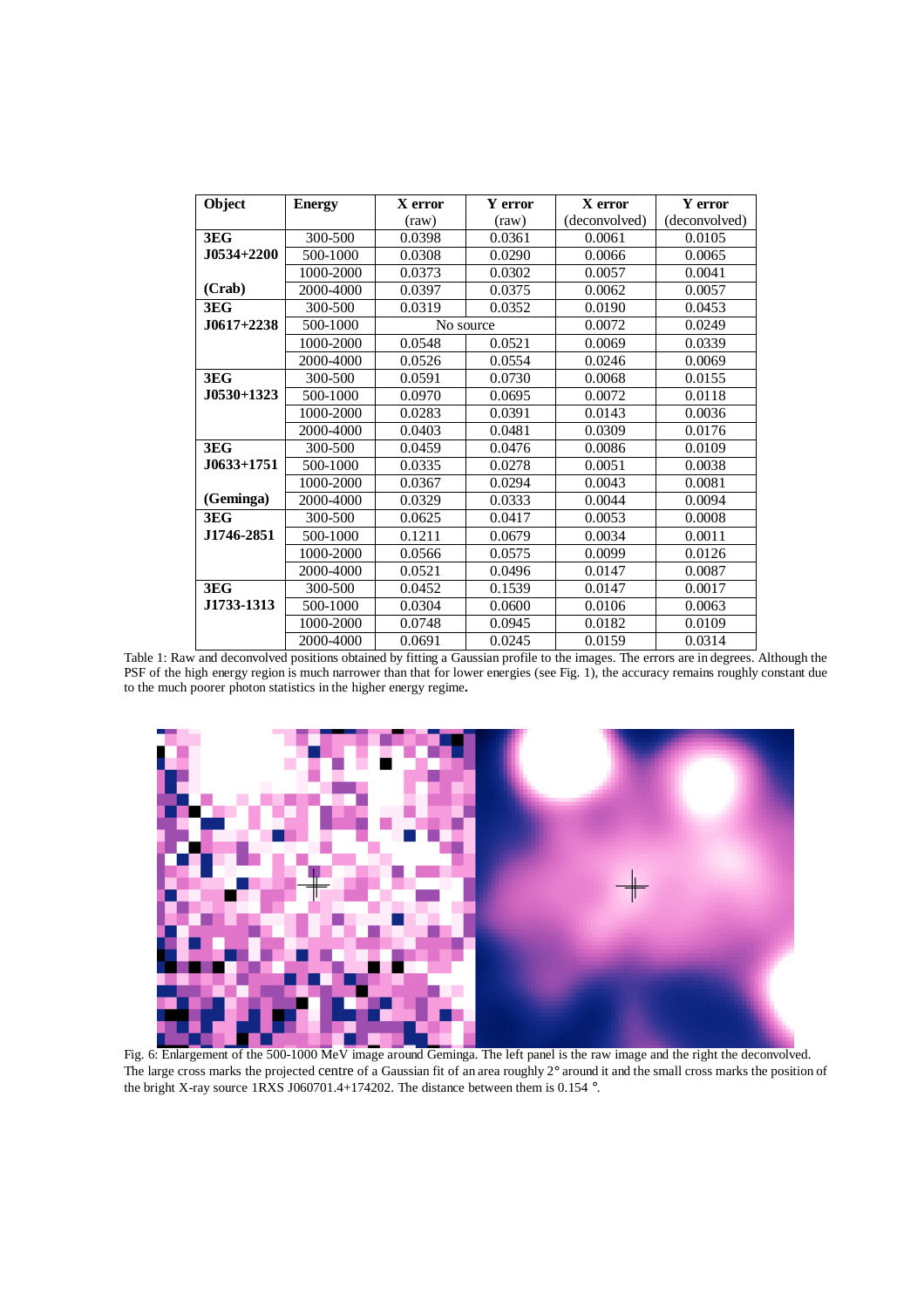| Object       | <b>Energy</b> | X error   | Y error      | X error       | Y error       |
|--------------|---------------|-----------|--------------|---------------|---------------|
|              |               | (raw)     | $\text{raw}$ | (deconvolved) | (deconvolved) |
| 3EG          | 300-500       | 0.0398    | 0.0361       | 0.0061        | 0.0105        |
| J0534+2200   | 500-1000      | 0.0308    | 0.0290       | 0.0066        | 0.0065        |
|              | 1000-2000     | 0.0373    | 0.0302       | 0.0057        | 0.0041        |
| (Crab)       | 2000-4000     | 0.0397    | 0.0375       | 0.0062        | 0.0057        |
| 3EG          | 300-500       | 0.0319    | 0.0352       | 0.0190        | 0.0453        |
| $J0617+2238$ | 500-1000      | No source |              | 0.0072        | 0.0249        |
|              | 1000-2000     | 0.0548    | 0.0521       | 0.0069        | 0.0339        |
|              | 2000-4000     | 0.0526    | 0.0554       | 0.0246        | 0.0069        |
| 3EG          | 300-500       | 0.0591    | 0.0730       | 0.0068        | 0.0155        |
| $J0530+1323$ | 500-1000      | 0.0970    | 0.0695       | 0.0072        | 0.0118        |
|              | 1000-2000     | 0.0283    | 0.0391       | 0.0143        | 0.0036        |
|              | 2000-4000     | 0.0403    | 0.0481       | 0.0309        | 0.0176        |
| 3EG          | 300-500       | 0.0459    | 0.0476       | 0.0086        | 0.0109        |
| J0633+1751.  | 500-1000      | 0.0335    | 0.0278       | 0.0051        | 0.0038        |
|              | 1000-2000     | 0.0367    | 0.0294       | 0.0043        | 0.0081        |
| (Geminga)    | 2000-4000     | 0.0329    | 0.0333       | 0.0044        | 0.0094        |
| 3EG          | 300-500       | 0.0625    | 0.0417       | 0.0053        | 0.0008        |
| J1746-2851   | 500-1000      | 0.1211    | 0.0679       | 0.0034        | 0.0011        |
|              | 1000-2000     | 0.0566    | 0.0575       | 0.0099        | 0.0126        |
|              | 2000-4000     | 0.0521    | 0.0496       | 0.0147        | 0.0087        |
| 3EG          | 300-500       | 0.0452    | 0.1539       | 0.0147        | 0.0017        |
| J1733-1313   | 500-1000      | 0.0304    | 0.0600       | 0.0106        | 0.0063        |
|              | 1000-2000     | 0.0748    | 0.0945       | 0.0182        | 0.0109        |
|              | 2000-4000     | 0.0691    | 0.0245       | 0.0159        | 0.0314        |

Table 1: Raw and deconvolved positions obtained by fitting a Gaussian profile to the images. The errors are in degrees. Although the PSF of the high energy region is much narrower than that for lower energies (see Fig. 1), the accuracy remains roughly constant due to the much poorer photon statistics in the higher energy regime**.** 



Fig. 6: Enlargement of the 500-1000 MeV image around Geminga. The left panel is the raw image and the right the deconvolved. The large cross marks the projected centre of a Gaussian fit of an area roughly 2° around it and the small cross marks the position of the bright X-ray source 1RXS J060701.4+174202. The distance between them is 0.154 °.